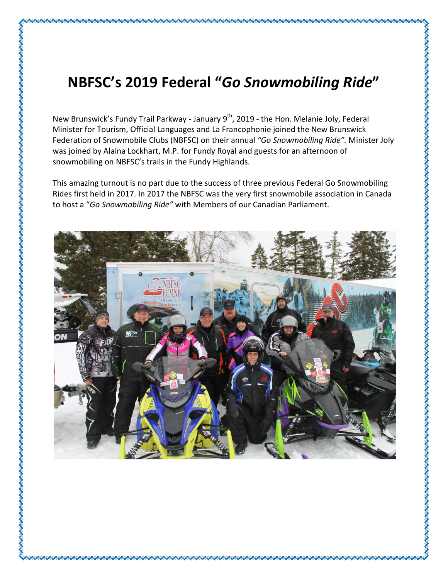## NBFSC's 2019 Federal "Go Snowmobiling Ride"

New Brunswick's Fundy Trail Parkway - January 9<sup>th</sup>, 2019 - the Hon. Melanie Joly, Federal Minister for Tourism, Official Languages and La Francophonie joined the New Brunswick Federation of Snowmobile Clubs (NBFSC) on their annual "Go Snowmobiling Ride". Minister Joly was joined by Alaina Lockhart, M.P. for Fundy Royal and guests for an afternoon of snowmobiling on NBFSC's trails in the Fundy Highlands.

This amazing turnout is no part due to the success of three previous Federal Go Snowmobiling Rides first held in 2017. In 2017 the NBFSC was the very first snowmobile association in Canada to host a "Go Snowmobiling Ride" with Members of our Canadian Parliament.

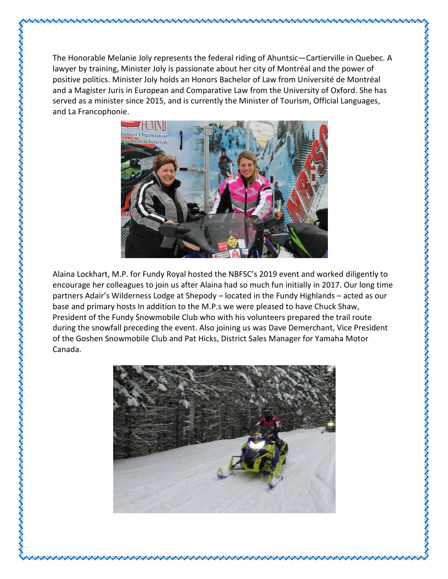The Honorable Melanie Joly represents the federal riding of Ahuntsic—Cartierville in Quebec. A lawyer by training, Minister Joly is passionate about her city of Montréal and the power of positive politics. Minister Joly holds an Honors Bachelor of Law from Université de Montréal and a Magister Juris in European and Comparative Law from the University of Oxford. She has served as a minister since 2015, and is currently the Minister of Tourism, Official Languages, and La Francophonie.



Alaina Lockhart, M.P. for Fundy Royal hosted the NBFSC's 2019 event and worked diligently to encourage her colleagues to join us after Alaina had so much fun initially in 2017. Our long time partners Adair's Wilderness Lodge at Shepody – located in the Fundy Highlands – acted as our base and primary hosts In addition to the M.P.s we were pleased to have Chuck Shaw, President of the Fundy Snowmobile Club who with his volunteers prepared the trail route during the snowfall preceding the event. Also joining us was Dave Demerchant, Vice President of the Goshen Snowmobile Club and Pat Hicks, District Sales Manager for Yamaha Motor Canada.